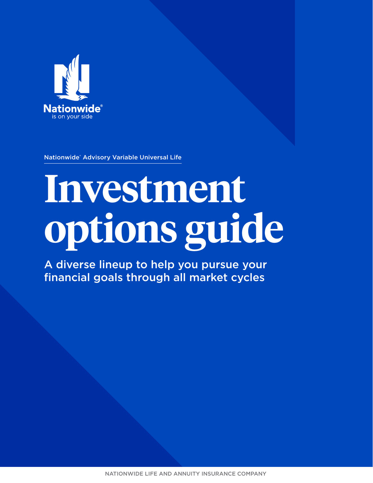

Nationwide® Advisory Variable Universal Life

# **Investment options guide**

A diverse lineup to help you pursue your financial goals through all market cycles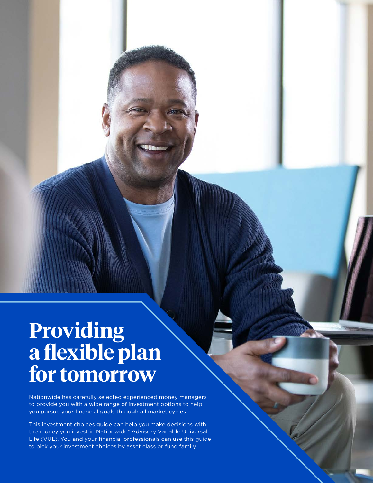# **Providing a flexible plan for tomorrow**

Nationwide has carefully selected experienced money managers to provide you with a wide range of investment options to help you pursue your financial goals through all market cycles.

This investment choices guide can help you make decisions with the money you invest in Nationwide® Advisory Variable Universal Life (VUL). You and your financial professionals can use this guide to pick your investment choices by asset class or fund family.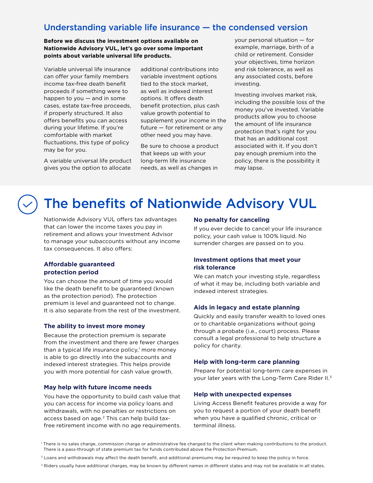# Understanding variable life insurance — the condensed version

# **Before we discuss the investment options available on Nationwide Advisory VUL, let's go over some important points about variable universal life products.**

Variable universal life insurance can offer your family members income tax-free death benefit proceeds if something were to happen to you — and in some cases, estate tax-free proceeds, if properly structured. It also offers benefits you can access during your lifetime. If you're comfortable with market fluctuations, this type of policy may be for you.

A variable universal life product gives you the option to allocate

additional contributions into variable investment options tied to the stock market, as well as indexed interest options. It offers death benefit protection, plus cash value growth potential to supplement your income in the future — for retirement or any other need you may have.

Be sure to choose a product that keeps up with your long-term life insurance needs, as well as changes in

your personal situation — for example, marriage, birth of a child or retirement. Consider your objectives, time horizon and risk tolerance, as well as any associated costs, before investing.

Investing involves market risk, including the possible loss of the money you've invested. Variable products allow you to choose the amount of life insurance protection that's right for you that has an additional cost associated with it. If you don't pay enough premium into the policy, there is the possibility it may lapse.

# The benefits of Nationwide Advisory VUL

Nationwide Advisory VUL offers tax advantages that can lower the income taxes you pay in retirement and allows your Investment Advisor to manage your subaccounts without any income tax consequences. It also offers:

# **Affordable guaranteed protection period**

You can choose the amount of time you would like the death benefit to be guaranteed (known as the protection period). The protection premium is level and guaranteed not to change. It is also separate from the rest of the investment.

# **The ability to invest more money**

Because the protection premium is separate from the investment and there are fewer charges than a typical life insurance policy,<sup>[1](#page-2-0)</sup> more money is able to go directly into the subaccounts and indexed interest strategies. This helps provide you with more potential for cash value growth.

# **May help with future income needs**

You have the opportunity to build cash value that you can access for income via policy loans and withdrawals, with no penalties or restrictions on access based on age.[2](#page-2-1) This can help build taxfree retirement income with no age requirements.

# **No penalty for canceling**

If you ever decide to cancel your life insurance policy, your cash value is 100% liquid. No surrender charges are passed on to you.

# **Investment options that meet your risk tolerance**

We can match your investing style, regardless of what it may be, including both variable and indexed interest strategies.

# **Aids in legacy and estate planning**

Quickly and easily transfer wealth to loved ones or to charitable organizations without going through a probate (i.e., court) process. Please consult a legal professional to help structure a policy for charity.

# **Help with long-term care planning**

Prepare for potential long-term care expenses in your later years with the Long-Term Care Rider II.<sup>3</sup>

# **Help with unexpected expenses**

Living Access Benefit features provide a way for you to request a portion of your death benefit when you have a qualified chronic, critical or terminal illness.

<span id="page-2-0"></span><sup>1</sup> There is no sales charge, commission charge or administrative fee charged to the client when making contributions to the product. There is a pass-through of state premium tax for funds contributed above the Protection Premium.

<span id="page-2-1"></span> $2$  Loans and withdrawals may affect the death benefit, and additional premiums may be required to keep the policy in force.

<span id="page-2-2"></span><sup>&</sup>lt;sup>3</sup> Riders usually have additional charges, may be known by different names in different states and may not be available in all states.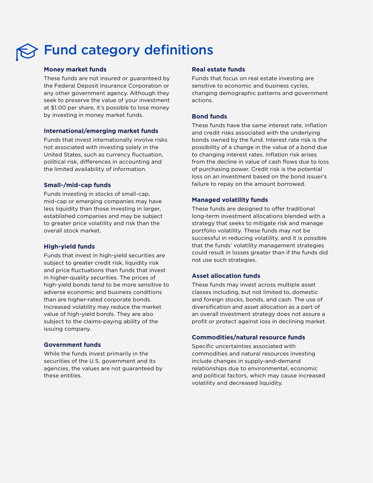# Fund category definitions

# **Money market funds**

These funds are not insured or guaranteed by the Federal Deposit Insurance Corporation or any other government agency. Although they seek to preserve the value of your investment at \$1.00 per share, it's possible to lose money by investing in money market funds.

# **International/emerging market funds**

Funds that invest internationally involve risks not associated with investing solely in the United States, such as currency fluctuation, political risk, differences in accounting and the limited availability of information.

# **Small-/mid-cap funds**

Funds investing in stocks of small-cap, mid-cap or emerging companies may have less liquidity than those investing in larger, established companies and may be subject to greater price volatility and risk than the overall stock market.

# **High-yield funds**

Funds that invest in high-yield securities are subject to greater credit risk, liquidity risk and price fluctuations than funds that invest in higher-quality securities. The prices of high-yield bonds tend to be more sensitive to adverse economic and business conditions than are higher-rated corporate bonds. Increased volatility may reduce the market value of high-yield bonds. They are also subject to the claims-paying ability of the issuing company.

# **Government funds**

While the funds invest primarily in the securities of the U.S. government and its agencies, the values are not guaranteed by these entities.

# **Real estate funds**

Funds that focus on real estate investing are sensitive to economic and business cycles, changing demographic patterns and government actions.

# **Bond funds**

These funds have the same interest rate, inflation and credit risks associated with the underlying bonds owned by the fund. Interest rate risk is the possibility of a change in the value of a bond due to changing interest rates. Inflation risk arises from the decline in value of cash flows due to loss of purchasing power. Credit risk is the potential loss on an investment based on the bond issuer's failure to repay on the amount borrowed.

# **Managed volatility funds**

These funds are designed to offer traditional long-term investment allocations blended with a strategy that seeks to mitigate risk and manage portfolio volatility. These funds may not be successful in reducing volatility, and it is possible that the funds' volatility management strategies could result in losses greater than if the funds did not use such strategies.

# **Asset allocation funds**

These funds may invest across multiple asset classes including, but not limited to, domestic and foreign stocks, bonds, and cash. The use of diversification and asset allocation as a part of an overall investment strategy does not assure a profit or protect against loss in declining market.

# **Commodities/natural resource funds**

Specific uncertainties associated with commodities and natural resources investing include changes in supply-and-demand relationships due to environmental, economic and political factors, which may cause increased volatility and decreased liquidity.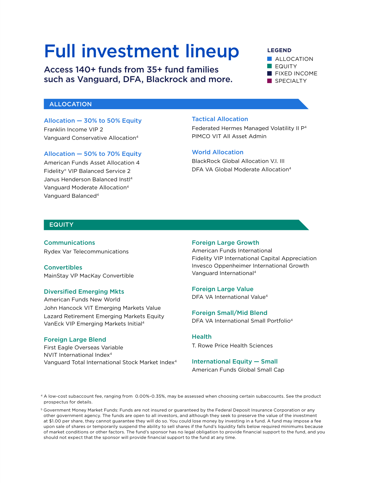# Full investment lineup

Access 140+ funds from 35+ fund families such as Vanguard, DFA, Blackrock and more.

# **LEGEND**

**ALLOCATION EQUITY FIXED INCOME** SPECIALTY

# ALLOCATION

Allocation — 30% to 50% Equity Franklin Income VIP 2 Vanguard Conservative Allocation[4](#page-4-0)

# Allocation — 50% to 70% Equity

American Funds Asset Allocation 4 Fidelity® VIP Balanced Service 2 Janus Henderson Balanced Inst[l4](#page-4-0) Vanguard Moderate Allocatio[n4](#page-4-0) Vanguard Balanced[4](#page-4-0)

# Tactical Allocation

Federated Hermes Managed Volatility II P[4](#page-4-0) PIMCO VIT All Asset Admin

# World Allocation

BlackRock Global Allocation V.I. III DFA VA Global Moderate Allocation[4](#page-4-0)

# **EQUITY**

Communications Rydex Var Telecommunications

**Convertibles** MainStay VP MacKay Convertible

# Diversified Emerging Mkts

American Funds New World John Hancock VIT Emerging Markets Value Lazard Retirement Emerging Markets Equity VanEck VIP Emerging Markets Initial[4](#page-4-0)

# Foreign Large Blend

First Eagle Overseas Variable NVIT International Index<sup>4</sup> Vanguard Total International Stock Market Index[4](#page-4-0)

## Foreign Large Growth

American Funds International Fidelity VIP International Capital Appreciation Invesco Oppenheimer International Growth Vanguard Internationa[l4](#page-4-0)

# Foreign Large Value

DFA VA International Value<sup>4</sup>

Foreign Small/Mid Blend DFA VA International Small Portfoli[o4](#page-4-0)

# **Health**

T. Rowe Price Health Sciences

# International Equity — Small American Funds Global Small Cap

<span id="page-4-0"></span><sup>4</sup> A low-cost subaccount fee, ranging from 0.00%-0.35%, may be assessed when choosing certain subaccounts. See the product prospectus for details.

<span id="page-4-1"></span><sup>5</sup> Government Money Market Funds: Funds are not insured or guaranteed by the Federal Deposit Insurance Corporation or any other government agency. The funds are open to all investors, and although they seek to preserve the value of the investment at \$1.00 per share, they cannot guarantee they will do so. You could lose money by investing in a fund. A fund may impose a fee upon sale of shares or temporarily suspend the ability to sell shares if the fund's liquidity falls below required minimums because of market conditions or other factors. The fund's sponsor has no legal obligation to provide financial support to the fund, and you should not expect that the sponsor will provide financial support to the fund at any time.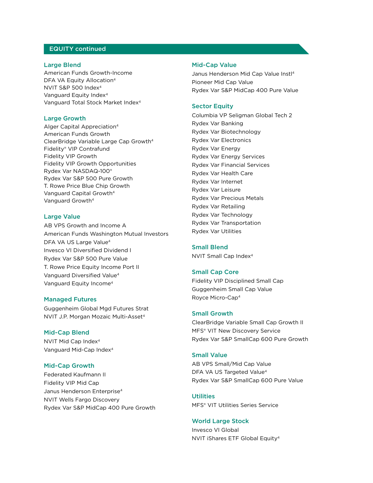# EQUITY continued

# Large Blend

American Funds Growth-Income DFA VA Equity Allocation<sup>4</sup> NVIT S&P 500 Inde[x4](#page-4-0) Vanguard Equity Index<sup>[4](#page-4-0)</sup> Vanguard Total Stock Market Index[4](#page-4-0)

# Large Growth

Alger Capital Appreciatio[n4](#page-4-0) American Funds Growth ClearBridge Variable Large Cap Growt[h4](#page-4-0) Fidelity® VIP Contrafund Fidelity VIP Growth Fidelity VIP Growth Opportunities Rydex Var NASDAQ-100® Rydex Var S&P 500 Pure Growth T. Rowe Price Blue Chip Growth Vanguard Capital Growth[4](#page-4-0) Vanguard Growth[4](#page-4-0)

# Large Value

AB VPS Growth and Income A American Funds Washington Mutual Investors DFA VA US Large Value<sup>[4](#page-4-0)</sup> Invesco VI Diversified Dividend I Rydex Var S&P 500 Pure Value T. Rowe Price Equity Income Port II Vanguard Diversified Valu[e4](#page-4-0) Vanguard Equity Incom[e4](#page-4-0)

# Managed Futures

Guggenheim Global Mgd Futures Strat NVIT J.P. Morgan Mozaic Multi-Asset<sup>4</sup>

## Mid-Cap Blend

NVIT Mid Cap Index[4](#page-4-0) Vanguard Mid-Cap Inde[x4](#page-4-0)

# Mid-Cap Growth

Federated Kaufmann II Fidelity VIP Mid Cap Janus Henderson Enterprise<sup>[4](#page-4-0)</sup> NVIT Wells Fargo Discovery Rydex Var S&P MidCap 400 Pure Growth

# Mid-Cap Value

Janus Henderson Mid Cap Value Instl[4](#page-4-0) Pioneer Mid Cap Value Rydex Var S&P MidCap 400 Pure Value

## Sector Equity

Columbia VP Seligman Global Tech 2 Rydex Var Banking Rydex Var Biotechnology Rydex Var Electronics Rydex Var Energy Rydex Var Energy Services Rydex Var Financial Services Rydex Var Health Care Rydex Var Internet Rydex Var Leisure Rydex Var Precious Metals Rydex Var Retailing Rydex Var Technology Rydex Var Transportation Rydex Var Utilities

## Small Blend

NVIT Small Cap Index[4](#page-4-0)

# Small Cap Core

Fidelity VIP Disciplined Small Cap Guggenheim Small Cap Value Royce Micro-Ca[p4](#page-4-0)

# Small Growth

ClearBridge Variable Small Cap Growth II MFS® VIT New Discovery Service Rydex Var S&P SmallCap 600 Pure Growth

# Small Value

AB VPS Small/Mid Cap Value DFA VA US Targeted Value<sup>[4](#page-4-0)</sup> Rydex Var S&P SmallCap 600 Pure Value

**Utilities** MFS® VIT Utilities Series Service

## World Large Stock

Invesco VI Global NVIT iShares ETF Global Equity[4](#page-4-0)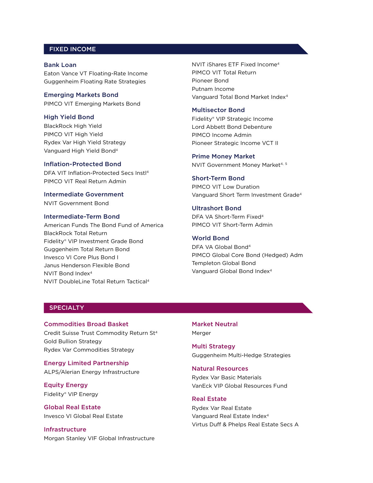# FIXED INCOME

Bank Loan Eaton Vance VT Floating-Rate Income Guggenheim Floating Rate Strategies

Emerging Markets Bond PIMCO VIT Emerging Markets Bond

# High Yield Bond

BlackRock High Yield PIMCO VIT High Yield Rydex Var High Yield Strategy Vanguard High Yield Bond[4](#page-4-0)

# Inflation-Protected Bond

DFA VIT Inflation-Protected Secs Instl[4](#page-4-0) PIMCO VIT Real Return Admin

Intermediate Government NVIT Government Bond

# Intermediate-Term Bond

American Funds The Bond Fund of America BlackRock Total Return Fidelity® VIP Investment Grade Bond Guggenheim Total Return Bond Invesco VI Core Plus Bond I Janus Henderson Flexible Bond NVIT Bond Index<sup>[4](#page-4-0)</sup> NVIT DoubleLine Total Return Tactical[4](#page-4-0)

NVIT iShares ETF Fixed Incom[e4](#page-4-0) PIMCO VIT Total Return Pioneer Bond Putnam Income Vanguard Total Bond Market Inde[x4](#page-4-0)

# Multisector Bond

Fidelity® VIP Strategic Income Lord Abbett Bond Debenture PIMCO Income Admin Pioneer Strategic Income VCT II

### Prime Money Market

NVIT Government Money Market<sup>[4](#page-4-0), [5](#page-4-1)</sup>

## Short-Term Bond

PIMCO VIT Low Duration Vanguard Short Term Investment Grade[4](#page-4-0)

# Ultrashort Bond

DFA VA Short-Term Fixed<sup>4</sup> PIMCO VIT Short-Term Admin

# World Bond

DFA VA Global Bon[d4](#page-4-0) PIMCO Global Core Bond (Hedged) Adm Templeton Global Bond Vanguard Global Bond Inde[x4](#page-4-0)

# **SPECIALTY**

Commodities Broad Basket Credit Suisse Trust Commodity Return S[t4](#page-4-0) Gold Bullion Strategy

Rydex Var Commodities Strategy

Energy Limited Partnership ALPS/Alerian Energy Infrastructure

Equity Energy Fidelity® VIP Energy

Global Real Estate Invesco VI Global Real Estate

Infrastructure Morgan Stanley VIF Global Infrastructure Market Neutral Merger

Multi Strategy Guggenheim Multi-Hedge Strategies

# Natural Resources

Rydex Var Basic Materials VanEck VIP Global Resources Fund

# Real Estate

Rydex Var Real Estate Vanguard Real Estate Index[4](#page-4-0) Virtus Duff & Phelps Real Estate Secs A